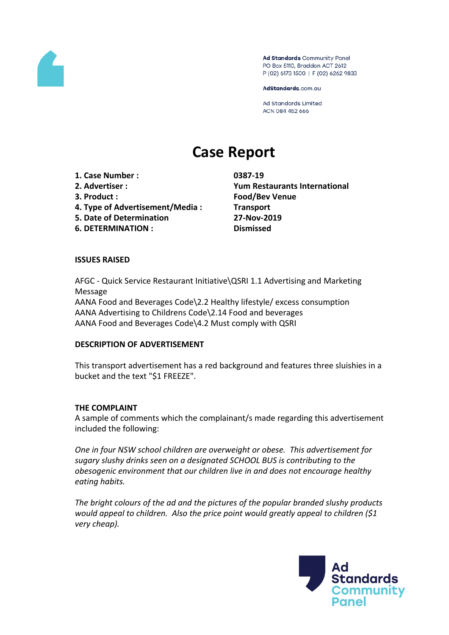

Ad Standards Community Panel PO Box 5110, Braddon ACT 2612 P (02) 6173 1500 | F (02) 6262 9833

AdStandards.com.au

**Ad Standards Limited** ACN 084 452 666

# **Case Report**

- **1. Case Number : 0387-19**
- 
- 
- **4. Type of Advertisement/Media : Transport**
- **5. Date of Determination 27-Nov-2019**
- **6. DETERMINATION : Dismissed**

**2. Advertiser : Yum Restaurants International 3. Product : Food/Bev Venue**

## **ISSUES RAISED**

AFGC - Quick Service Restaurant Initiative\QSRI 1.1 Advertising and Marketing Message AANA Food and Beverages Code\2.2 Healthy lifestyle/ excess consumption AANA Advertising to Childrens Code\2.14 Food and beverages AANA Food and Beverages Code\4.2 Must comply with QSRI

#### **DESCRIPTION OF ADVERTISEMENT**

This transport advertisement has a red background and features three sluishies in a bucket and the text "\$1 FREEZE".

#### **THE COMPLAINT**

A sample of comments which the complainant/s made regarding this advertisement included the following:

*One in four NSW school children are overweight or obese. This advertisement for sugary slushy drinks seen on a designated SCHOOL BUS is contributing to the obesogenic environment that our children live in and does not encourage healthy eating habits.*

*The bright colours of the ad and the pictures of the popular branded slushy products would appeal to children. Also the price point would greatly appeal to children (\$1 very cheap).* 

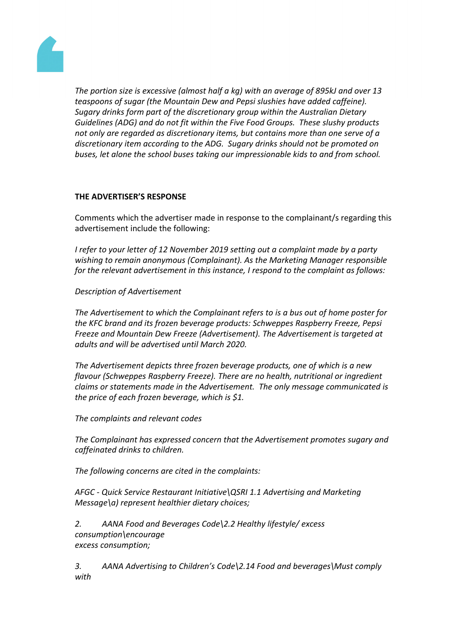

*The portion size is excessive (almost half a kg) with an average of 895kJ and over 13 teaspoons of sugar (the Mountain Dew and Pepsi slushies have added caffeine). Sugary drinks form part of the discretionary group within the Australian Dietary Guidelines (ADG) and do not fit within the Five Food Groups. These slushy products not only are regarded as discretionary items, but contains more than one serve of a discretionary item according to the ADG. Sugary drinks should not be promoted on buses, let alone the school buses taking our impressionable kids to and from school.*

## **THE ADVERTISER'S RESPONSE**

Comments which the advertiser made in response to the complainant/s regarding this advertisement include the following:

*I refer to your letter of 12 November 2019 setting out a complaint made by a party wishing to remain anonymous (Complainant). As the Marketing Manager responsible for the relevant advertisement in this instance, I respond to the complaint as follows:*

*Description of Advertisement*

*The Advertisement to which the Complainant refers to is a bus out of home poster for the KFC brand and its frozen beverage products: Schweppes Raspberry Freeze, Pepsi Freeze and Mountain Dew Freeze (Advertisement). The Advertisement is targeted at adults and will be advertised until March 2020.*

*The Advertisement depicts three frozen beverage products, one of which is a new flavour (Schweppes Raspberry Freeze). There are no health, nutritional or ingredient claims or statements made in the Advertisement. The only message communicated is the price of each frozen beverage, which is \$1.*

*The complaints and relevant codes*

*The Complainant has expressed concern that the Advertisement promotes sugary and caffeinated drinks to children.*

*The following concerns are cited in the complaints:*

*AFGC - Quick Service Restaurant Initiative\QSRI 1.1 Advertising and Marketing Message\a) represent healthier dietary choices;*

*2. AANA Food and Beverages Code\2.2 Healthy lifestyle/ excess consumption\encourage excess consumption;*

*3. AANA Advertising to Children's Code\2.14 Food and beverages\Must comply with*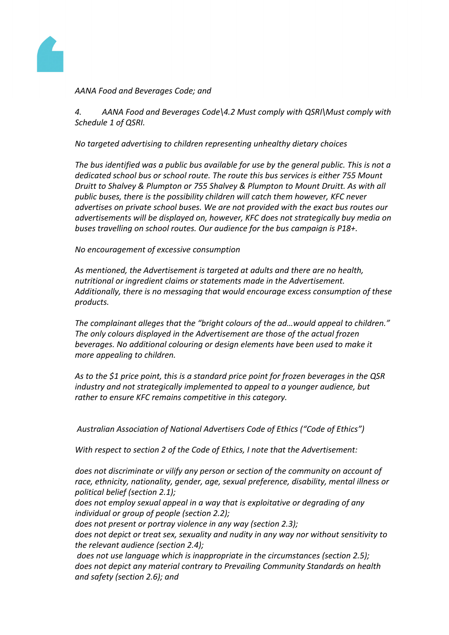

*AANA Food and Beverages Code; and*

*4. AANA Food and Beverages Code\4.2 Must comply with QSRI\Must comply with Schedule 1 of QSRI.*

*No targeted advertising to children representing unhealthy dietary choices*

*The bus identified was a public bus available for use by the general public. This is not a dedicated school bus or school route. The route this bus services is either 755 Mount Druitt to Shalvey & Plumpton or 755 Shalvey & Plumpton to Mount Druitt. As with all public buses, there is the possibility children will catch them however, KFC never advertises on private school buses. We are not provided with the exact bus routes our advertisements will be displayed on, however, KFC does not strategically buy media on buses travelling on school routes. Our audience for the bus campaign is P18+.*

*No encouragement of excessive consumption*

*As mentioned, the Advertisement is targeted at adults and there are no health, nutritional or ingredient claims or statements made in the Advertisement. Additionally, there is no messaging that would encourage excess consumption of these products.*

*The complainant alleges that the "bright colours of the ad…would appeal to children." The only colours displayed in the Advertisement are those of the actual frozen beverages. No additional colouring or design elements have been used to make it more appealing to children.*

*As to the \$1 price point, this is a standard price point for frozen beverages in the QSR industry and not strategically implemented to appeal to a younger audience, but rather to ensure KFC remains competitive in this category.*

*Australian Association of National Advertisers Code of Ethics ("Code of Ethics")*

*With respect to section 2 of the Code of Ethics, I note that the Advertisement:*

*does not discriminate or vilify any person or section of the community on account of race, ethnicity, nationality, gender, age, sexual preference, disability, mental illness or political belief (section 2.1);*

*does not employ sexual appeal in a way that is exploitative or degrading of any individual or group of people (section 2.2);*

*does not present or portray violence in any way (section 2.3);*

*does not depict or treat sex, sexuality and nudity in any way nor without sensitivity to the relevant audience (section 2.4);*

*does not use language which is inappropriate in the circumstances (section 2.5); does not depict any material contrary to Prevailing Community Standards on health and safety (section 2.6); and*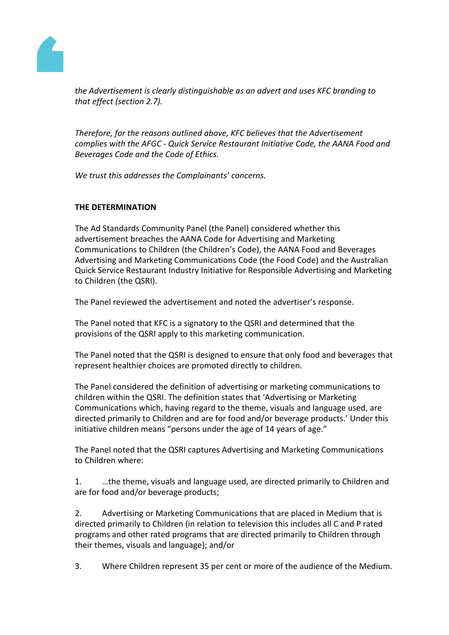

*the Advertisement is clearly distinguishable as an advert and uses KFC branding to that effect (section 2.7).*

*Therefore, for the reasons outlined above, KFC believes that the Advertisement complies with the AFGC - Quick Service Restaurant Initiative Code, the AANA Food and Beverages Code and the Code of Ethics.*

*We trust this addresses the Complainants' concerns.*

# **THE DETERMINATION**

The Ad Standards Community Panel (the Panel) considered whether this advertisement breaches the AANA Code for Advertising and Marketing Communications to Children (the Children's Code), the AANA Food and Beverages Advertising and Marketing Communications Code (the Food Code) and the Australian Quick Service Restaurant Industry Initiative for Responsible Advertising and Marketing to Children (the QSRI).

The Panel reviewed the advertisement and noted the advertiser's response.

The Panel noted that KFC is a signatory to the QSRI and determined that the provisions of the QSRI apply to this marketing communication.

The Panel noted that the QSRI is designed to ensure that only food and beverages that represent healthier choices are promoted directly to children.

The Panel considered the definition of advertising or marketing communications to children within the QSRI. The definition states that 'Advertising or Marketing Communications which, having regard to the theme, visuals and language used, are directed primarily to Children and are for food and/or beverage products.' Under this initiative children means "persons under the age of 14 years of age."

The Panel noted that the QSRI captures Advertising and Marketing Communications to Children where:

1. …the theme, visuals and language used, are directed primarily to Children and are for food and/or beverage products;

2. Advertising or Marketing Communications that are placed in Medium that is directed primarily to Children (in relation to television this includes all C and P rated programs and other rated programs that are directed primarily to Children through their themes, visuals and language); and/or

3. Where Children represent 35 per cent or more of the audience of the Medium.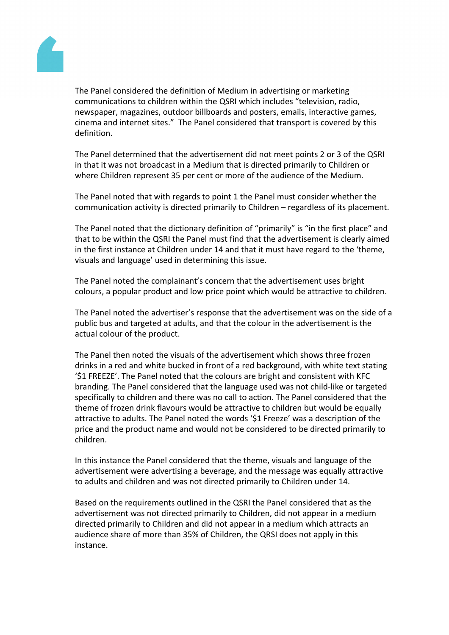

The Panel considered the definition of Medium in advertising or marketing communications to children within the QSRI which includes "television, radio, newspaper, magazines, outdoor billboards and posters, emails, interactive games, cinema and internet sites." The Panel considered that transport is covered by this definition.

The Panel determined that the advertisement did not meet points 2 or 3 of the QSRI in that it was not broadcast in a Medium that is directed primarily to Children or where Children represent 35 per cent or more of the audience of the Medium.

The Panel noted that with regards to point 1 the Panel must consider whether the communication activity is directed primarily to Children – regardless of its placement.

The Panel noted that the dictionary definition of "primarily" is "in the first place" and that to be within the QSRI the Panel must find that the advertisement is clearly aimed in the first instance at Children under 14 and that it must have regard to the 'theme, visuals and language' used in determining this issue.

The Panel noted the complainant's concern that the advertisement uses bright colours, a popular product and low price point which would be attractive to children.

The Panel noted the advertiser's response that the advertisement was on the side of a public bus and targeted at adults, and that the colour in the advertisement is the actual colour of the product.

The Panel then noted the visuals of the advertisement which shows three frozen drinks in a red and white bucked in front of a red background, with white text stating '\$1 FREEZE'. The Panel noted that the colours are bright and consistent with KFC branding. The Panel considered that the language used was not child-like or targeted specifically to children and there was no call to action. The Panel considered that the theme of frozen drink flavours would be attractive to children but would be equally attractive to adults. The Panel noted the words '\$1 Freeze' was a description of the price and the product name and would not be considered to be directed primarily to children.

In this instance the Panel considered that the theme, visuals and language of the advertisement were advertising a beverage, and the message was equally attractive to adults and children and was not directed primarily to Children under 14.

Based on the requirements outlined in the QSRI the Panel considered that as the advertisement was not directed primarily to Children, did not appear in a medium directed primarily to Children and did not appear in a medium which attracts an audience share of more than 35% of Children, the QRSI does not apply in this instance.